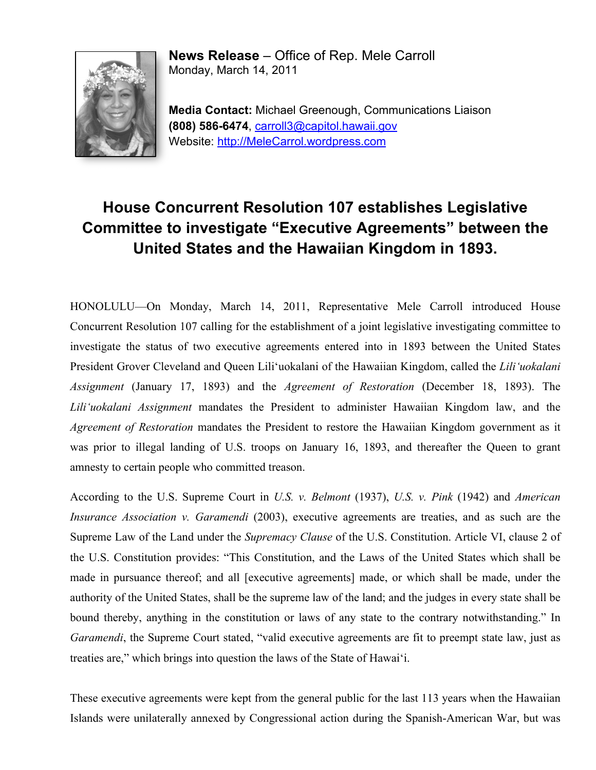

**News Release** – Office of Rep. Mele Carroll Monday, March 14, 2011

**Media Contact:** Michael Greenough, Communications Liaison **(808) 586-6474**, carroll3@capitol.hawaii.gov Website: http://MeleCarrol.wordpress.com

#### **House Concurrent Resolution 107 establishes Legislative Committee to investigate "Executive Agreements" between the United States and the Hawaiian Kingdom in 1893.**

HONOLULU—On Monday, March 14, 2011, Representative Mele Carroll introduced House Concurrent Resolution 107 calling for the establishment of a joint legislative investigating committee to investigate the status of two executive agreements entered into in 1893 between the United States President Grover Cleveland and Queen Lili'uokalani of the Hawaiian Kingdom, called the *Lili'uokalani Assignment* (January 17, 1893) and the *Agreement of Restoration* (December 18, 1893). The *Lili'uokalani Assignment* mandates the President to administer Hawaiian Kingdom law, and the *Agreement of Restoration* mandates the President to restore the Hawaiian Kingdom government as it was prior to illegal landing of U.S. troops on January 16, 1893, and thereafter the Queen to grant amnesty to certain people who committed treason.

According to the U.S. Supreme Court in *U.S. v. Belmont* (1937), *U.S. v. Pink* (1942) and *American Insurance Association v. Garamendi* (2003), executive agreements are treaties, and as such are the Supreme Law of the Land under the *Supremacy Clause* of the U.S. Constitution. Article VI, clause 2 of the U.S. Constitution provides: "This Constitution, and the Laws of the United States which shall be made in pursuance thereof; and all [executive agreements] made, or which shall be made, under the authority of the United States, shall be the supreme law of the land; and the judges in every state shall be bound thereby, anything in the constitution or laws of any state to the contrary notwithstanding." In *Garamendi*, the Supreme Court stated, "valid executive agreements are fit to preempt state law, just as treaties are," which brings into question the laws of the State of Hawai'i.

These executive agreements were kept from the general public for the last 113 years when the Hawaiian Islands were unilaterally annexed by Congressional action during the Spanish-American War, but was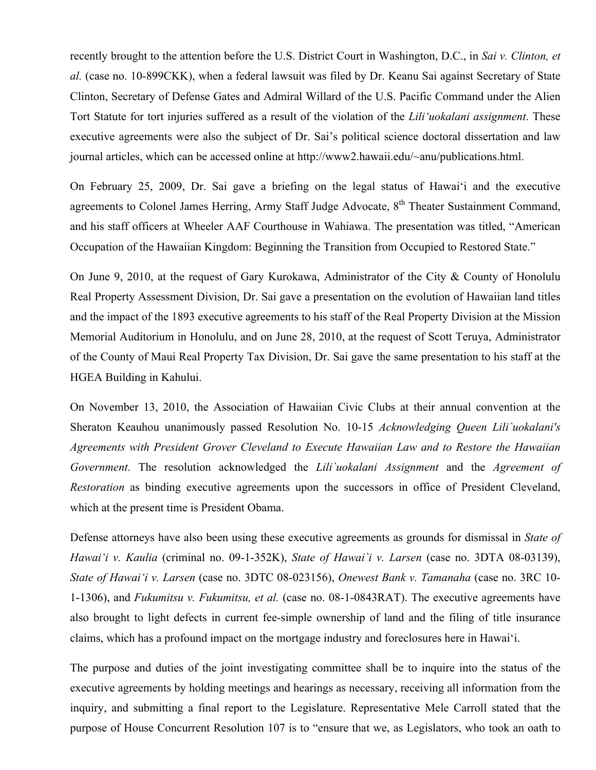recently brought to the attention before the U.S. District Court in Washington, D.C., in *Sai v. Clinton, et al.* (case no. 10-899CKK), when a federal lawsuit was filed by Dr. Keanu Sai against Secretary of State Clinton, Secretary of Defense Gates and Admiral Willard of the U.S. Pacific Command under the Alien Tort Statute for tort injuries suffered as a result of the violation of the *Lili'uokalani assignment*. These executive agreements were also the subject of Dr. Sai's political science doctoral dissertation and law journal articles, which can be accessed online at http://www2.hawaii.edu/~anu/publications.html.

On February 25, 2009, Dr. Sai gave a briefing on the legal status of Hawai'i and the executive agreements to Colonel James Herring, Army Staff Judge Advocate, 8<sup>th</sup> Theater Sustainment Command, and his staff officers at Wheeler AAF Courthouse in Wahiawa. The presentation was titled, "American Occupation of the Hawaiian Kingdom: Beginning the Transition from Occupied to Restored State."

On June 9, 2010, at the request of Gary Kurokawa, Administrator of the City & County of Honolulu Real Property Assessment Division, Dr. Sai gave a presentation on the evolution of Hawaiian land titles and the impact of the 1893 executive agreements to his staff of the Real Property Division at the Mission Memorial Auditorium in Honolulu, and on June 28, 2010, at the request of Scott Teruya, Administrator of the County of Maui Real Property Tax Division, Dr. Sai gave the same presentation to his staff at the HGEA Building in Kahului.

On November 13, 2010, the Association of Hawaiian Civic Clubs at their annual convention at the Sheraton Keauhou unanimously passed Resolution No. 10-15 *Acknowledging Queen Lili`uokalani's Agreements with President Grover Cleveland to Execute Hawaiian Law and to Restore the Hawaiian Government*. The resolution acknowledged the *Lili`uokalani Assignment* and the *Agreement of Restoration* as binding executive agreements upon the successors in office of President Cleveland, which at the present time is President Obama.

Defense attorneys have also been using these executive agreements as grounds for dismissal in *State of Hawai'i v. Kaulia* (criminal no. 09-1-352K), *State of Hawai`i v. Larsen* (case no. 3DTA 08-03139), *State of Hawai'i v. Larsen* (case no. 3DTC 08-023156), *Onewest Bank v. Tamanaha* (case no. 3RC 10- 1-1306), and *Fukumitsu v. Fukumitsu, et al.* (case no. 08-1-0843RAT). The executive agreements have also brought to light defects in current fee-simple ownership of land and the filing of title insurance claims, which has a profound impact on the mortgage industry and foreclosures here in Hawai'i.

The purpose and duties of the joint investigating committee shall be to inquire into the status of the executive agreements by holding meetings and hearings as necessary, receiving all information from the inquiry, and submitting a final report to the Legislature. Representative Mele Carroll stated that the purpose of House Concurrent Resolution 107 is to "ensure that we, as Legislators, who took an oath to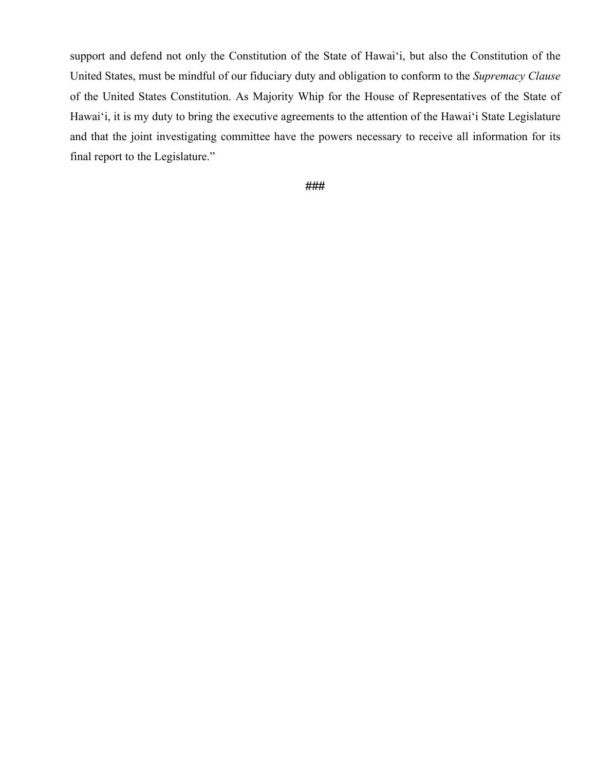support and defend not only the Constitution of the State of Hawai'i, but also the Constitution of the United States, must be mindful of our fiduciary duty and obligation to conform to the *Supremacy Clause* of the United States Constitution. As Majority Whip for the House of Representatives of the State of Hawai'i, it is my duty to bring the executive agreements to the attention of the Hawai'i State Legislature and that the joint investigating committee have the powers necessary to receive all information for its final report to the Legislature."

#### ###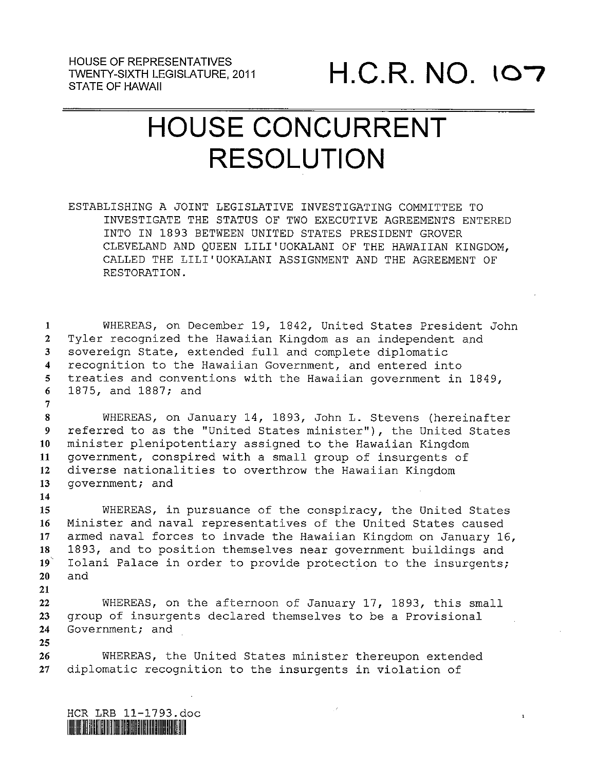#### HOUSE CONCURRENT RESOLUTION

ESTABLISHING A JOINT LEGISLATIVE INVESTIGATING COMMITTEE TO INVESTIGATE THE STATUS OF TWO EXECUTIVE AGREEMENTS ENTERED INTO IN 1893 BETWEEN UNITED STATES PRESIDENT GROVER CLEVELAND AND QUEEN LILI'UOKALANI OF THE HAWAIIAN KINGDOM, CALLED THE LILI'UOKALANI ASSIGNMENT AND THE AGREEMENT OF RESTORATION.

 WHEREAS, on December 19, 1842, United States President John Tyler recognized the Hawaiian Kingdom as an independent and sovereign State, extended full and complete diplomatic recognition to the Hawaiian Government, and entered into treaties and conventions with the Hawaiian government in 1849, 1875, and 1887; and

 WHEREAS, on January 14, 1893, John L. Stevens (hereinafter referred to as the "United States minister"), the United States minister plenipotentiary assigned to the Hawaiian Kingdom government, conspired with <sup>a</sup> small group of insurgents of diverse nationalities to overthrow the Hawaiian Kingdom government; and

 WHEREAS, in pursuance of the conspiracy, the United States Minister and naval representatives of the United States caused armed naval forces to invade the Hawaiian Kingdom on January 16, 1893, and to position themselves near government buildings and 19<sup>'</sup> Iolani Palace in order to provide protection to the insurgents; 20 and

22 WHEREAS, on the afternoon of January 17, 1893, this small 23 group of insurgents declared themselves to be <sup>a</sup> Provisional 24 Government; and

26 WHEREAS, the United States minister thereupon extended 27 diplomatic recognition to the insurgents in violation of

HCR LRB 11-1793.doc**THE REAL PROPERTY OF A PARTIES** 

7

14

21

25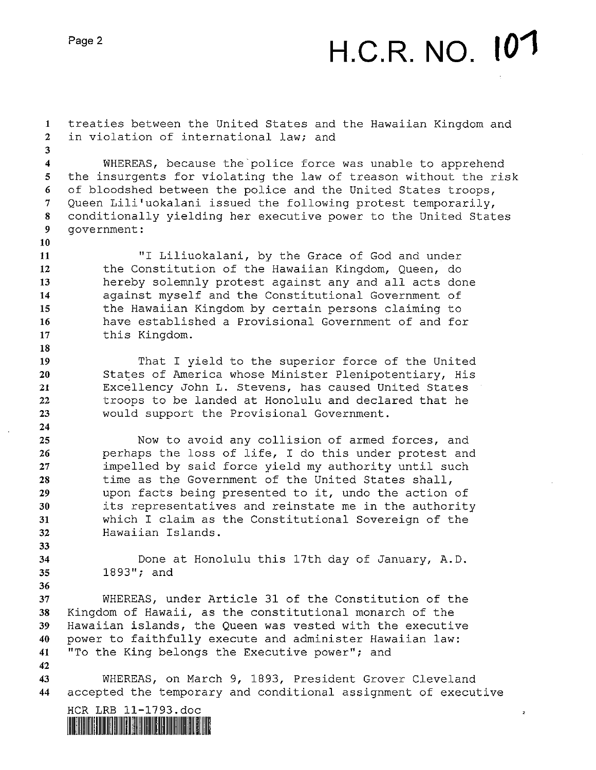# H.C.R. NO. 107

 treaties between the United States and the Hawaiian Kingdom and in violation of international law; and 3 4 WHEREAS, because the police force was unable to apprehend 5 the insurgents for violating the law of treason without the risk of bloodshed between the police and the United States troops, Queen Lili'uokalani issued the following protest temporarily, conditionally yielding her executive power to the United States government: "I Liliuokalani, by the Grace of God and under the Constitution of the Hawaiian Kingdom, Queen, do hereby solemnly protest against any and all acts done against myself and the Constitutional Government of the Hawaiian Kingdom by certain persons claiming to have established a Provisional Government of and for this Kingdom. That I yield to the superior force of the United States of America whose Minister Plenipotentiary, His Excellency John L. Stevens, has caused United States troops to be landed at Honolulu and declared that he would support the Provisional Government. Now to avoid any collision of armed forces, and perhaps the loss of life, I do this under protest and impelled by said force yield my authority until such time as the Government of the United States shall, upon facts being presented to it, undo the action of its representatives and reinstate me in the authority which <sup>I</sup> claim as the Constitutional Sovereign of the Hawaiian Islands. Done at Honolulu this 17th day of January, A.D. 1893"; and WHEREAS, under Article 31 of the Constitution of the Kingdom of Hawaii, as the constitutional monarch of the Hawaiian islands, the Queen was vested with the executive power to faithfully execute and administer Hawaiian law: "To the King belongs the Executive power"; and WHEREAS, on March 9, 1893, President Grover Cleveland accepted the temporary and conditional assignment of executive HCR LRB 11-1793.doc 2

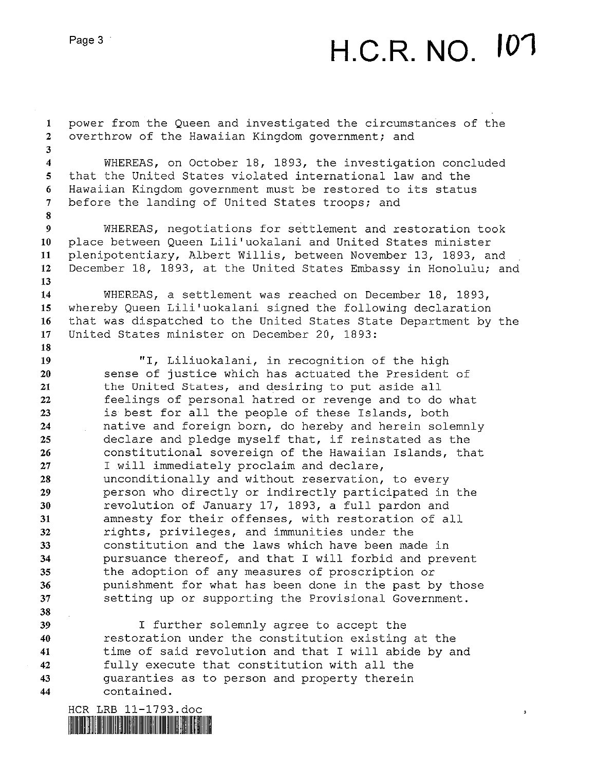## H.C.R. NO. 101

1 power from the Queen and investigated the circumstances of the overthrow of the Hawaiian Kingdom government; and 3 WHEREAS, on October 18, 1893, the investigation concluded that the United States violated international law and the Hawaiian Kingdom government must be restored to its status before the landing of United States troops; and 8 WHEREAS, negotiations for settlement and restoration took 10 place between Queen Lili'uokalani and United States minister plenipotentiary, Albert Willis, between November 13, 1893, and December 18, 1893, at the United States Embassy in Honolulu; and WHEREAS, <sup>a</sup> settlement was reached on December 18, 1893, 15 whereby Queen Lili'uokalani signed the following declaration that was dispatched to the United States State Department by the United States minister on December 20, 1893: "I, Liliuokalani, in recognition of the high sense of justice which has actuated the President of the United States, and desiring to put aside all feelings of personal hatred or revenge and to do what is best for all the people of these Islands, both native and foreign born, do hereby and herein solemnly declare and pledge myself that, if reinstated as the constitutional sovereign of the Hawaiian Islands, that <sup>I</sup> will immediately proclaim and declare, unconditionally and without reservation, to every person who directly or indirectly participated in the revolution of January 17, 1893, <sup>a</sup> full pardon and amnesty for their offenses, with restoration of all rights, privileges, and immunities under the constitution and the laws which have been made in pursuance thereof, and that I will forbid and prevent the adoption of any measures of proscription or punishment for what has been done in the past by those setting up or supporting the Provisional Government. I further solemnly agree to accept the restoration under the constitution existing at the time of said revolution and that I will abide by and fully execute that constitution with all the guaranties as to person and property therein contained.

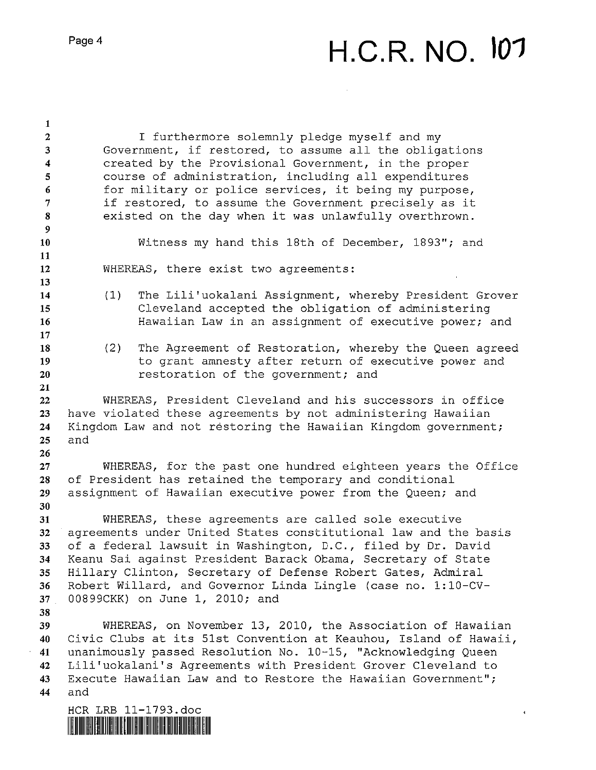### H.C.R. NO. 101

 $\sim 10^7$ 

| $\mathbf{1}$ |                                                                                            |  |  |  |  |  |
|--------------|--------------------------------------------------------------------------------------------|--|--|--|--|--|
| 2            | I furthermore solemnly pledge myself and my                                                |  |  |  |  |  |
| 3            | Government, if restored, to assume all the obligations                                     |  |  |  |  |  |
| 4            | created by the Provisional Government, in the proper                                       |  |  |  |  |  |
| 5            | course of administration, including all expenditures                                       |  |  |  |  |  |
| 6            | for military or police services, it being my purpose,                                      |  |  |  |  |  |
| 7            | if restored, to assume the Government precisely as it                                      |  |  |  |  |  |
| 8            | existed on the day when it was unlawfully overthrown.                                      |  |  |  |  |  |
| $\mathbf{9}$ |                                                                                            |  |  |  |  |  |
| 10           | Witness my hand this 18th of December, 1893"; and                                          |  |  |  |  |  |
| 11           |                                                                                            |  |  |  |  |  |
| 12           | WHEREAS, there exist two agreements:                                                       |  |  |  |  |  |
| 13           |                                                                                            |  |  |  |  |  |
| 14           | The Lili'uokalani Assignment, whereby President Grover<br>(1)                              |  |  |  |  |  |
| 15           | Cleveland accepted the obligation of administering                                         |  |  |  |  |  |
| 16           | Hawaiian Law in an assignment of executive power; and                                      |  |  |  |  |  |
| 17           |                                                                                            |  |  |  |  |  |
| 18           | The Agreement of Restoration, whereby the Queen agreed<br>(2)                              |  |  |  |  |  |
| 19<br>20     | to grant amnesty after return of executive power and<br>restoration of the government; and |  |  |  |  |  |
| 21           |                                                                                            |  |  |  |  |  |
| 22           | WHEREAS, President Cleveland and his successors in office                                  |  |  |  |  |  |
| 23           | have violated these agreements by not administering Hawaiian                               |  |  |  |  |  |
| 24           | Kingdom Law and not restoring the Hawaiian Kingdom government;                             |  |  |  |  |  |
| 25           | and                                                                                        |  |  |  |  |  |
| 26           |                                                                                            |  |  |  |  |  |
| 27           | WHEREAS, for the past one hundred eighteen years the Office                                |  |  |  |  |  |
| 28           | of President has retained the temporary and conditional                                    |  |  |  |  |  |
| 29           | assignment of Hawaiian executive power from the Queen; and                                 |  |  |  |  |  |
| 30           |                                                                                            |  |  |  |  |  |
| 31           | WHEREAS, these agreements are called sole executive                                        |  |  |  |  |  |
| 32           | agreements under United States constitutional law and the basis                            |  |  |  |  |  |
| 33           | of a federal lawsuit in Washington, D.C., filed by Dr. David                               |  |  |  |  |  |
| 34           | Keanu Sai against President Barack Obama, Secretary of State                               |  |  |  |  |  |
| 35           | Hillary Clinton, Secretary of Defense Robert Gates, Admiral                                |  |  |  |  |  |
| 36           | Robert Willard, and Governor Linda Lingle (case no. 1:10-CV-                               |  |  |  |  |  |
| 37           | 00899CKK) on June 1, 2010; and                                                             |  |  |  |  |  |
| 38           |                                                                                            |  |  |  |  |  |
| 39           | WHEREAS, on November 13, 2010, the Association of Hawaiian                                 |  |  |  |  |  |
| 40           | Civic Clubs at its 51st Convention at Keauhou, Island of Hawaii,                           |  |  |  |  |  |
| 41           | unanimously passed Resolution No. 10-15, "Acknowledging Queen                              |  |  |  |  |  |
| 42           | Lili'uokalani's Agreements with President Grover Cleveland to                              |  |  |  |  |  |
| 43           | Execute Hawaiian Law and to Restore the Hawaiian Government";                              |  |  |  |  |  |
| 44           | and                                                                                        |  |  |  |  |  |
|              | HCR LRB 11-1793.doc                                                                        |  |  |  |  |  |

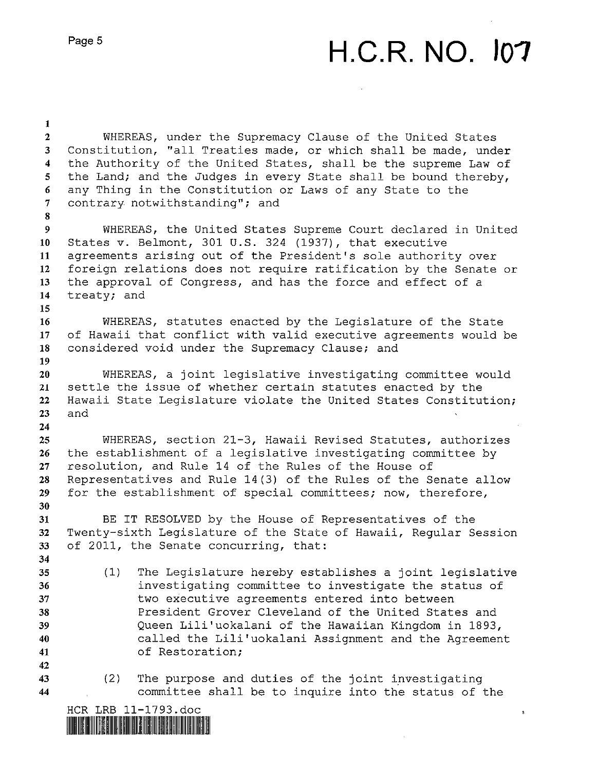~

#### $H.C.R. NO.$   $107$

1 WHEREAS, under the Supremacy Clause of the United States Constitution, "all Treaties made, or which shall be made, under the Authority of the United States, shall be the supreme Law of 5 the Land; and the Judges in every State shall be bound thereby, any Thing in the Constitution or Laws of any State to the contrary notwithstanding"; and 8 WHEREAS, the United States Supreme Court declared in United States v. Belmont, 301 U.S. 324 (1937), that executive agreements arising out of the President's sole authority over foreign relations does not require ratification by the Senate or the approval of Congress, and has the force and effect of <sup>a</sup> treaty; and WHEREAS, statutes enacted by the Legislature of the State of Hawaii that conflict with valid executive agreements would be considered void under the Supremacy Clause; and WHEREAS, <sup>a</sup> joint legislative investigating committee would settle the issue of whether certain statutes enacted by the Hawaii State Legislature violate the United States Constitution; and WHEREAS, section 21—3, Hawaii Revised Statutes, authorizes the establishment of <sup>a</sup> legislative investigating committee by resolution, and Rule 14 of the Rules of the House of Representatives and Rule 14(3) of the Rules of the Senate allow for the establishment of special committees; now, therefore, BE IT RESOLVED by the House of Representatives of the Twenty—sixth Legislature of the State of Hawaii, Regular Session of 2011, the Senate concurring, that: (1) The Legislature hereby establishes <sup>a</sup> joint legislative investigating committee to investigate the status of two executive agreements entered into between President Grover Cleveland of the United States and Queen Lili'uokalani of the Hawaiian Kingdom in 1893, called the Lili'uokalani Assignment and the Agreement of Restoration; (2) The purpose and duties of the joint investigating committee shall be to inquire into the status of the HCR LRB ll-1793.doc $\bar{\mathbf{s}}$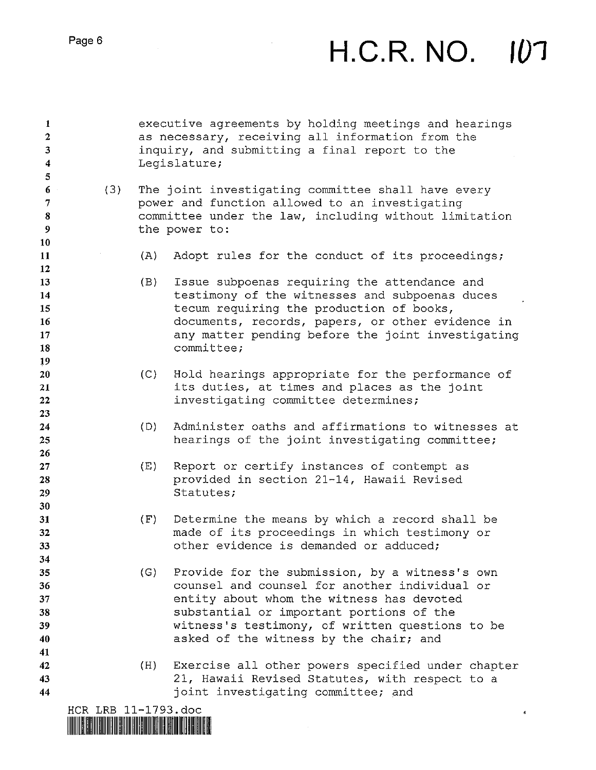$\mathcal{A}^{\prime}$ 

#### H.C.R. NO. 107

 $\tilde{\mathbf{s}}$ 

| 1<br>$\mathbf{2}$<br>3<br>4<br>5       |     |     | executive agreements by holding meetings and hearings<br>as necessary, receiving all information from the<br>inquiry, and submitting a final report to the<br>Legislature;                                                                                                            |
|----------------------------------------|-----|-----|---------------------------------------------------------------------------------------------------------------------------------------------------------------------------------------------------------------------------------------------------------------------------------------|
| 6<br>7<br>8<br>9                       | (3) |     | The joint investigating committee shall have every<br>power and function allowed to an investigating<br>committee under the law, including without limitation<br>the power to:                                                                                                        |
| 10<br>11<br>12                         |     | (A) | Adopt rules for the conduct of its proceedings;                                                                                                                                                                                                                                       |
| 13<br>14<br>15<br>16<br>17<br>18<br>19 |     | (B) | Issue subpoenas requiring the attendance and<br>testimony of the witnesses and subpoenas duces<br>tecum requiring the production of books,<br>documents, records, papers, or other evidence in<br>any matter pending before the joint investigating<br>committee;                     |
| 20<br>21<br>22<br>23                   |     | (C) | Hold hearings appropriate for the performance of<br>its duties, at times and places as the joint<br>investigating committee determines;                                                                                                                                               |
| 24<br>25                               |     | (D) | Administer oaths and affirmations to witnesses at<br>hearings of the joint investigating committee;                                                                                                                                                                                   |
| 26<br>27<br>28<br>29                   |     | (E) | Report or certify instances of contempt as<br>provided in section 21-14, Hawaii Revised<br>Statutes;                                                                                                                                                                                  |
| 30<br>31<br>32<br>33<br>34             |     | (F) | Determine the means by which a record shall be<br>made of its proceedings in which testimony or<br>other evidence is demanded or adduced;                                                                                                                                             |
| 35<br>36<br>37<br>38<br>39<br>40<br>41 |     | (G) | Provide for the submission, by a witness's own<br>counsel and counsel for another individual or<br>entity about whom the witness has devoted<br>substantial or important portions of the<br>witness's testimony, of written questions to be<br>asked of the witness by the chair; and |
| 42<br>43<br>44                         |     | (H) | Exercise all other powers specified under chapter<br>21, Hawaii Revised Statutes, with respect to a<br>joint investigating committee; and                                                                                                                                             |

 $\hat{\mathcal{A}}$ 

 $\hat{\mathcal{A}}$ 

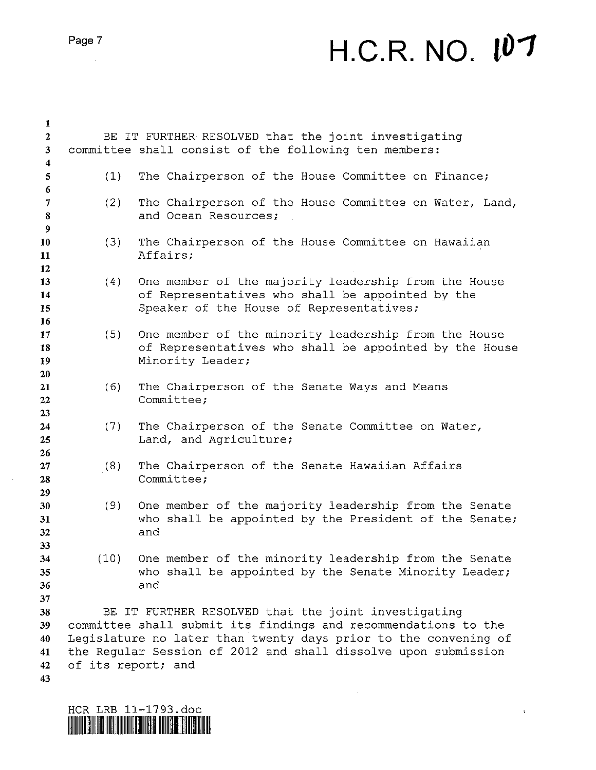$\mathcal{L}$ 

 $\sim 10^6$ 

### $H.C.R. NO.  $l^{0}1$$

| 1<br>$\mathbf{2}$<br>$\mathbf{3}$      |                    | BE IT FURTHER RESOLVED that the joint investigating<br>committee shall consist of the following ten members:                                                                                                                                               |
|----------------------------------------|--------------------|------------------------------------------------------------------------------------------------------------------------------------------------------------------------------------------------------------------------------------------------------------|
| $\overline{\mathbf{4}}$                |                    |                                                                                                                                                                                                                                                            |
| 5                                      | (1)                | The Chairperson of the House Committee on Finance;                                                                                                                                                                                                         |
| 6<br>7<br>8<br>9                       | (2)                | The Chairperson of the House Committee on Water, Land,<br>and Ocean Resources;                                                                                                                                                                             |
| 10<br>11<br>12                         | (3)                | The Chairperson of the House Committee on Hawaiian<br>Affairs;                                                                                                                                                                                             |
| 13<br>14<br>15<br>16                   | (4)                | One member of the majority leadership from the House<br>of Representatives who shall be appointed by the<br>Speaker of the House of Representatives;                                                                                                       |
| 17<br>18<br>19<br>20                   | (5)                | One member of the minority leadership from the House<br>of Representatives who shall be appointed by the House<br>Minority Leader;                                                                                                                         |
| 21<br>22<br>23                         | (6)                | The Chairperson of the Senate Ways and Means<br>Committee;                                                                                                                                                                                                 |
| 24<br>25<br>26                         | (7)                | The Chairperson of the Senate Committee on Water,<br>Land, and Agriculture;                                                                                                                                                                                |
| 27<br>28<br>29                         | (8)                | The Chairperson of the Senate Hawaiian Affairs<br>Committee;                                                                                                                                                                                               |
| 30<br>31<br>32<br>33                   | (9)                | One member of the majority leadership from the Senate<br>who shall be appointed by the President of the Senate;<br>and                                                                                                                                     |
| 34<br>35<br>36                         | (10)               | One member of the minority leadership from the Senate<br>who shall be appointed by the Senate Minority Leader;<br>and                                                                                                                                      |
| 37<br>38<br>39<br>40<br>41<br>42<br>43 | of its report; and | BE IT FURTHER RESOLVED that the joint investigating<br>committee shall submit its findings and recommendations to the<br>Legislature no later than twenty days prior to the convening of<br>the Regular Session of 2012 and shall dissolve upon submission |